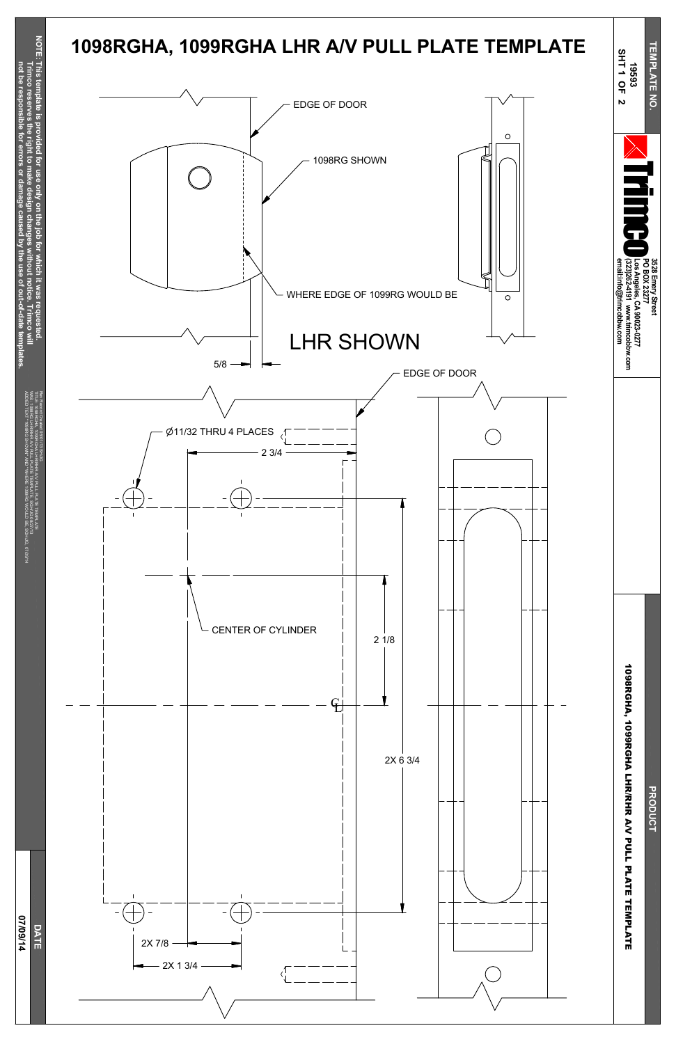**not be resp**

**onsible**

**for**

SHOWN" AND WHERE

**errors or**

**damage**

**caused**

**b y the use of**

**out-of-date**

**tem**

**plates.**

**0 7/0**

**9/14**





ADDED TEXT "1098RG

1099RG WOULD BE, SGH/JG,

07/09/14